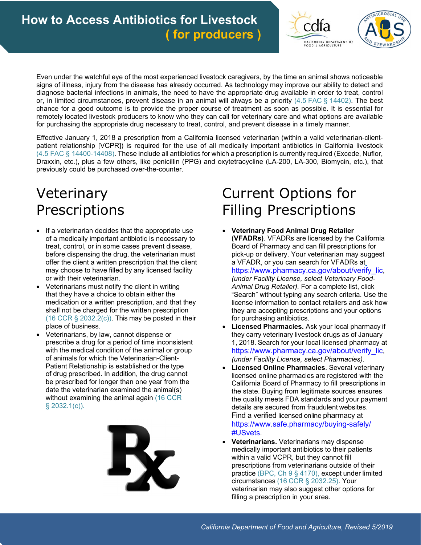



 diagnose bacterial infections in animals, the need to have the appropriate drug available in order to treat, control remotely located livestock producers to know who they can call for veterinary care and what options are available Even under the watchful eye of the most experienced livestock caregivers, by the time an animal shows noticeable signs of illness, injury from the disease has already occurred. As technology may improve our ability to detect and or, in limited circumstances, prevent disease in an animal will always be a priority (4.5 FAC § 14402). The best chance for a good outcome is to provide the proper course of treatment as soon as possible. It is essential for for purchasing the appropriate drug necessary to treat, control, and prevent disease in a timely manner.

Effective January 1, 2018 a prescription from a California licensed veterinarian (within a valid veterinarian-clientpatient relationship [VCPR]) is required for the use of all medically important antibiotics in California livestock (4.5 FAC § 14400-14408). These include all antibiotics for which a prescription is currently required (Excede, Nuflor, Draxxin, etc.), plus a few others, like penicillin (PPG) and oxytetracycline (LA-200, LA-300, Biomycin, etc.), that previously could be purchased over-the-counter.

## Veterinary Prescriptions

- If a veterinarian decides that the appropriate use of a medically important antibiotic is necessary to treat, control, or in some cases prevent disease, before dispensing the drug, the veterinarian must offer the client a written prescription that the client may choose to have filled by any licensed facility or with their veterinarian.
- medication or a written prescription, and that they  $(16 \text{ CCR } \S$  2032.2(c)). This may be posted in their Veterinarians must notify the client in writing that they have a choice to obtain either the shall not be charged for the written prescription place of business.
- Patient Relationship is established or the type Veterinarians, by law, cannot dispense or prescribe a drug for a period of time inconsistent with the medical condition of the animal or group of animals for which the Veterinarian-Clientof drug prescribed. In addition, the drug cannot be prescribed for longer than one year from the date the veterinarian examined the animal(s) without examining the animal again (16 CCR § 2032.1(c)).



## Current Options for Filling Prescriptions

- **Veterinary Food Animal Drug Retailer (VFADRs)**. VFADRs are licensed by the California Board of Pharmacy and can fill prescriptions for pick-up or delivery. Your veterinarian may suggest a VFADR, or you can search for VFADRs at [https://www.pharmacy.ca.gov/about/verify\\_lic,](https://www.pharmacy.ca.gov/about/verify_lic) *(under Facility License, select Veterinary Food-Animal Drug Retailer).* For a complete list, click "Search" without typing any search criteria. Use the license information to contact retailers and ask how they are accepting prescriptions and your options for purchasing antibiotics.
- they carry veterinary livestock drugs as of January 1, 2018. Search for your local licensed pharmacy at **Licensed Pharmacies.** Ask your local pharmacy if [https://www.pharmacy.ca.gov/about/verify\\_lic,](https://www.pharmacy.ca.gov/about/verify_lic) *(under Facility License, select Pharmacies).*
- **Licensed Online Pharmacies**. Several veterinary licensed online pharmacies are registered with the California Board of Pharmacy to fill prescriptions in the state. Buying from legitimate sources ensures the quality meets FDA standards and your payment details are secured from fraudulent websites. Find a verified licensed online pharmacy at [https://www.safe.pharmacy/buying-safely/](https://www.safe.pharmacy/buying-safely) #USvets.
- **Veterinarians.** Veterinarians may dispense medically important antibiotics to their patients within a valid VCPR, but they cannot fill prescriptions from veterinarians outside of their practice (BPC, Ch 9 § 4170), except under limited circumstances (16 CCR § 2032.25). Your veterinarian may also suggest other options for filling a prescription in your area.